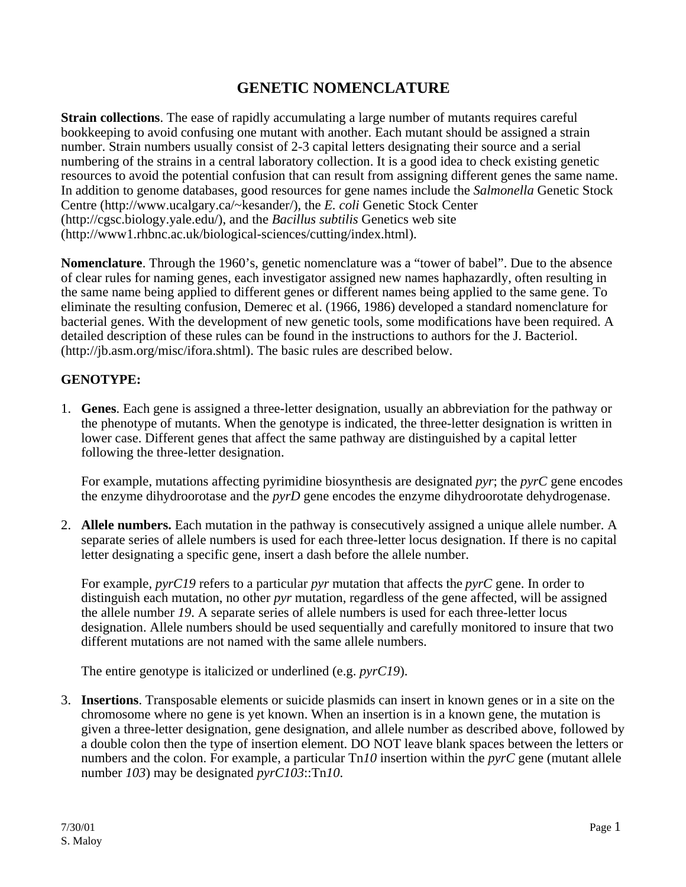## **GENETIC NOMENCLATURE**

**Strain collections**. The ease of rapidly accumulating a large number of mutants requires careful bookkeeping to avoid confusing one mutant with another. Each mutant should be assigned a strain number. Strain numbers usually consist of 2-3 capital letters designating their source and a serial numbering of the strains in a central laboratory collection. It is a good idea to check existing genetic resources to avoid the potential confusion that can result from assigning different genes the same name. In addition to genome databases, good resources for gene names include the *Salmonella* Genetic Stock Centre (http://www.ucalgary.ca/~kesander/), the *E. coli* Genetic Stock Center (http://cgsc.biology.yale.edu/), and the *Bacillus subtilis* Genetics web site (http://www1.rhbnc.ac.uk/biological-sciences/cutting/index.html).

**Nomenclature**. Through the 1960's, genetic nomenclature was a "tower of babel". Due to the absence of clear rules for naming genes, each investigator assigned new names haphazardly, often resulting in the same name being applied to different genes or different names being applied to the same gene. To eliminate the resulting confusion, Demerec et al. (1966, 1986) developed a standard nomenclature for bacterial genes. With the development of new genetic tools, some modifications have been required. A detailed description of these rules can be found in the instructions to authors for the J. Bacteriol. (http://jb.asm.org/misc/ifora.shtml). The basic rules are described below.

## **GENOTYPE:**

1. **Genes**. Each gene is assigned a three-letter designation, usually an abbreviation for the pathway or the phenotype of mutants. When the genotype is indicated, the three-letter designation is written in lower case. Different genes that affect the same pathway are distinguished by a capital letter following the three-letter designation.

For example, mutations affecting pyrimidine biosynthesis are designated *pyr*; the *pyrC* gene encodes the enzyme dihydroorotase and the *pyrD* gene encodes the enzyme dihydroorotate dehydrogenase.

2. **Allele numbers.** Each mutation in the pathway is consecutively assigned a unique allele number. A separate series of allele numbers is used for each three-letter locus designation. If there is no capital letter designating a specific gene, insert a dash before the allele number.

For example, *pyrC19* refers to a particular *pyr* mutation that affects the *pyrC* gene. In order to distinguish each mutation, no other *pyr* mutation, regardless of the gene affected, will be assigned the allele number *19*. A separate series of allele numbers is used for each three-letter locus designation. Allele numbers should be used sequentially and carefully monitored to insure that two different mutations are not named with the same allele numbers.

The entire genotype is italicized or underlined (e.g. *pyrC19*).

3. **Insertions**. Transposable elements or suicide plasmids can insert in known genes or in a site on the chromosome where no gene is yet known. When an insertion is in a known gene, the mutation is given a three-letter designation, gene designation, and allele number as described above, followed by a double colon then the type of insertion element. DO NOT leave blank spaces between the letters or numbers and the colon. For example, a particular Tn*10* insertion within the *pyrC* gene (mutant allele number *103*) may be designated *pyrC103*::Tn*10*.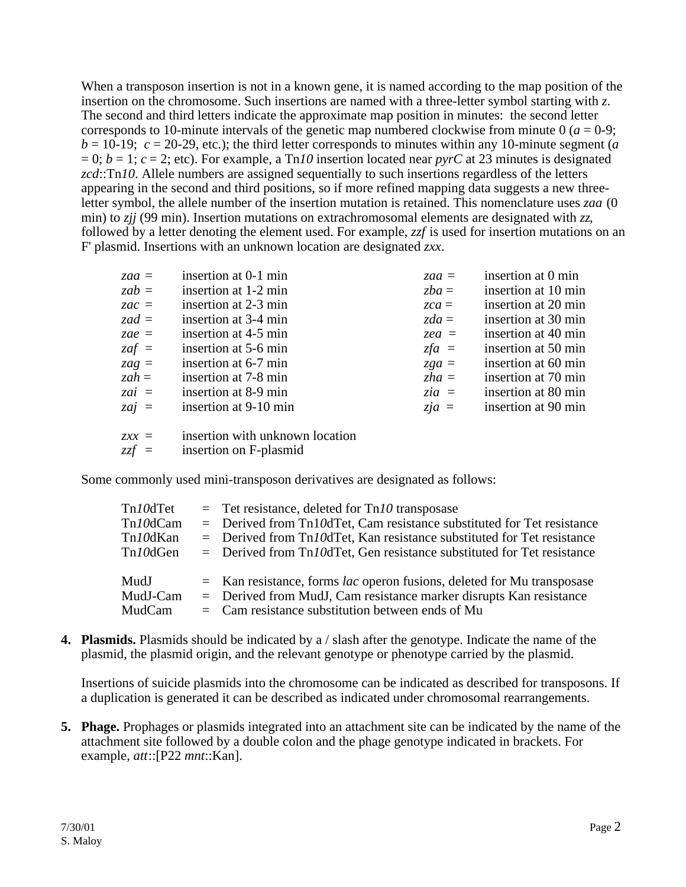When a transposon insertion is not in a known gene, it is named according to the map position of the insertion on the chromosome. Such insertions are named with a three-letter symbol starting with *z*. The second and third letters indicate the approximate map position in minutes: the second letter corresponds to 10-minute intervals of the genetic map numbered clockwise from minute  $0$  ( $a = 0.9$ ;  $b = 10-19$ ;  $c = 20-29$ , etc.); the third letter corresponds to minutes within any 10-minute segment (*a*  $= 0$ ;  $b = 1$ ;  $c = 2$ ; etc). For example, a Tn10 insertion located near *pyrC* at 23 minutes is designated *zcd*::Tn*10*. Allele numbers are assigned sequentially to such insertions regardless of the letters appearing in the second and third positions, so if more refined mapping data suggests a new threeletter symbol, the allele number of the insertion mutation is retained. This nomenclature uses *zaa* (0 min) to *zjj* (99 min). Insertion mutations on extrachromosomal elements are designated with *zz*, followed by a letter denoting the element used. For example, *zzf* is used for insertion mutations on an F' plasmid. Insertions with an unknown location are designated *zxx*.

| $zaa =$ | insertion at 0-1 min  | $zaa =$ | insertion at 0 min  |
|---------|-----------------------|---------|---------------------|
| $zab =$ | insertion at 1-2 min  | $zba =$ | insertion at 10 min |
| $zac =$ | insertion at 2-3 min  | $zca =$ | insertion at 20 min |
| zad $=$ | insertion at 3-4 min  | $zda =$ | insertion at 30 min |
| zae =   | insertion at 4-5 min  | $zea =$ | insertion at 40 min |
| $zaf =$ | insertion at 5-6 min  | $zfa =$ | insertion at 50 min |
| $zag =$ | insertion at 6-7 min  | $zga =$ | insertion at 60 min |
| $zah =$ | insertion at 7-8 min  | $zha =$ | insertion at 70 min |
| $zai =$ | insertion at 8-9 min  | $zia =$ | insertion at 80 min |
| $zai =$ | insertion at 9-10 min | $zja =$ | insertion at 90 min |
|         |                       |         |                     |

*zxx* = insertion with unknown location

*zzf* = insertion on F-plasmid

Some commonly used mini-transposon derivatives are designated as follows:

| Tn10dTet | $=$ Tet resistance, deleted for Tn10 transposase                                  |
|----------|-----------------------------------------------------------------------------------|
| Tn10dCam | $=$ Derived from Tn10dTet, Cam resistance substituted for Tet resistance          |
| Tn10dKan | $=$ Derived from Tn <i>10</i> dTet, Kan resistance substituted for Tet resistance |
| Tn10dGen | $=$ Derived from Tn10dTet, Gen resistance substituted for Tet resistance          |
| MudJ     | $=$ Kan resistance, forms <i>lac</i> operon fusions, deleted for Mu transposase   |
| MudJ-Cam | $=$ Derived from MudJ, Cam resistance marker disrupts Kan resistance              |
| MudCam   | $=$ Cam resistance substitution between ends of Mu                                |

**4. Plasmids.** Plasmids should be indicated by a / slash after the genotype. Indicate the name of the plasmid, the plasmid origin, and the relevant genotype or phenotype carried by the plasmid.

Insertions of suicide plasmids into the chromosome can be indicated as described for transposons. If a duplication is generated it can be described as indicated under chromosomal rearrangements.

**5. Phage.** Prophages or plasmids integrated into an attachment site can be indicated by the name of the attachment site followed by a double colon and the phage genotype indicated in brackets. For example, *att*::[P22 *mnt*::Kan].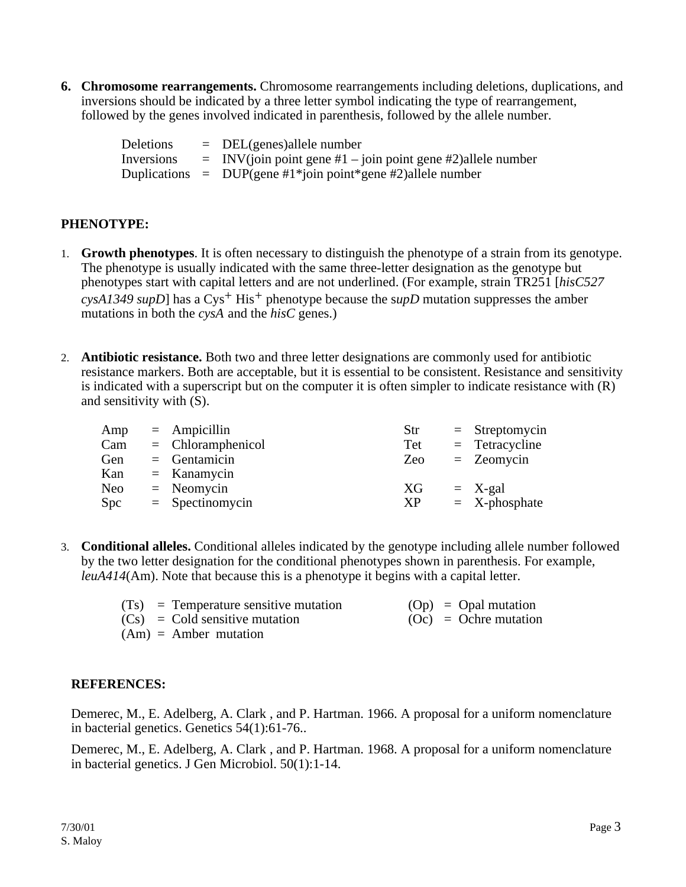**6. Chromosome rearrangements.** Chromosome rearrangements including deletions, duplications, and inversions should be indicated by a three letter symbol indicating the type of rearrangement, followed by the genes involved indicated in parenthesis, followed by the allele number.

| <b>Deletions</b> | $=$ DEL(genes)allele number                                    |
|------------------|----------------------------------------------------------------|
| Inversions       | $=$ INV(join point gene #1 – join point gene #2) allele number |
|                  | Duplications = DUP(gene #1*join point*gene #2)allele number    |

## **PHENOTYPE:**

- 1. **Growth phenotypes**. It is often necessary to distinguish the phenotype of a strain from its genotype. The phenotype is usually indicated with the same three-letter designation as the genotype but phenotypes start with capital letters and are not underlined. (For example, strain TR251 [*hisC527 cysA1349 supD*] has a Cys<sup>+</sup> His<sup>+</sup> phenotype because the supD mutation suppresses the amber mutations in both the *cysA* and the *hisC* genes.)
- 2. **Antibiotic resistance.** Both two and three letter designations are commonly used for antibiotic resistance markers. Both are acceptable, but it is essential to be consistent. Resistance and sensitivity is indicated with a superscript but on the computer it is often simpler to indicate resistance with (R) and sensitivity with (S).

| Amp        | $=$ Ampicillin      | Str | $=$ Streptomycin |
|------------|---------------------|-----|------------------|
| Cam        | $=$ Chloramphenicol | Tet | $=$ Tetracycline |
| Gen        | $=$ Gentamicin      | Zeo | $=$ Zeomycin     |
| Kan        | $=$ Kanamycin       |     |                  |
| <b>Neo</b> | $=$ Neomycin        | XG  | $= X$ -gal       |
| Spc        | $=$ Spectinomycin   | XP  | $=$ X-phosphate  |

3. **Conditional alleles.** Conditional alleles indicated by the genotype including allele number followed by the two letter designation for the conditional phenotypes shown in parenthesis. For example, *leuA414*(Am). Note that because this is a phenotype it begins with a capital letter.

| $(Ts)$ = Temperature sensitive mutation | $(Op) = Opal$ mutation  |
|-----------------------------------------|-------------------------|
| $(Cs) = Cold$ sensitive mutation        | $(Oc) = Ochre$ mutation |
| $(Am) =$ Amber mutation                 |                         |

## **REFERENCES:**

Demerec, M., E. Adelberg, A. Clark , and P. Hartman. 1966. A proposal for a uniform nomenclature in bacterial genetics. Genetics 54(1):61-76..

Demerec, M., E. Adelberg, A. Clark , and P. Hartman. 1968. A proposal for a uniform nomenclature in bacterial genetics. J Gen Microbiol. 50(1):1-14.